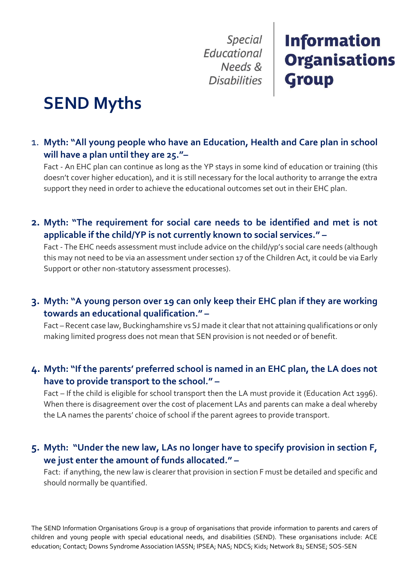**Special** Educational Needs & **Disabilities** 

## **Information Organisations Group**

# **SEND Myths**

1. **Myth: "All young people who have an Education, Health and Care plan in school will have a plan until they are 25."–**

Fact - An EHC plan can continue as long as the YP stays in some kind of education or training (this doesn't cover higher education), and it is still necessary for the local authority to arrange the extra support they need in order to achieve the educational outcomes set out in their EHC plan.

**2. Myth: "The requirement for social care needs to be identified and met is not applicable if the child/YP is not currently known to social services." –**

Fact - The EHC needs assessment must include advice on the child/yp's social care needs (although this may not need to be via an assessment under section 17 of the Children Act, it could be via Early Support or other non-statutory assessment processes).

#### **3. Myth: "A young person over 19 can only keep their EHC plan if they are working towards an educational qualification." –**

Fact – Recent case law, Buckinghamshire vs SJ made it clear that not attaining qualifications or only making limited progress does not mean that SEN provision is not needed or of benefit.

#### **4. Myth: "If the parents' preferred school is named in an EHC plan, the LA does not have to provide transport to the school." –**

Fact – If the child is eligible for school transport then the LA must provide it (Education Act 1996). When there is disagreement over the cost of placement LAs and parents can make a deal whereby the LA names the parents' choice of school if the parent agrees to provide transport.

#### **5. Myth: "Under the new law, LAs no longer have to specify provision in section F, we just enter the amount of funds allocated." –**

Fact: if anything, the new law is clearer that provision in section F must be detailed and specific and should normally be quantified.

The SEND Information Organisations Group is a group of organisations that provide information to parents and carers of children and young people with special educational needs, and disabilities (SEND). These organisations include: ACE education; Contact; Downs Syndrome Association IASSN; IPSEA; NAS; NDCS; Kids; Network 81; SENSE; SOS-SEN